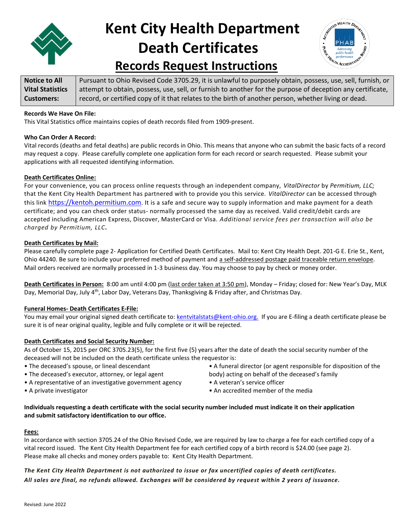

# **Kent City Health Department Death Certificates**



## **Records Request Instructions**

| Notice to All           | Pursuant to Ohio Revised Code 3705.29, it is unlawful to purposely obtain, possess, use, sell, furnish, or |
|-------------------------|------------------------------------------------------------------------------------------------------------|
| <b>Vital Statistics</b> | attempt to obtain, possess, use, sell, or furnish to another for the purpose of deception any certificate, |
| <b>Customers:</b>       | record, or certified copy of it that relates to the birth of another person, whether living or dead.       |

#### **Records We Have On File:**

This Vital Statistics office maintains copies of death records filed from 1909-present.

#### **Who Can Order A Record:**

Vital records (deaths and fetal deaths) are public records in Ohio. This means that anyone who can submit the basic facts of a record may request a copy. Please carefully complete one application form for each record or search requested. Please submit your applications with all requested identifying information.

#### **Death Certificates Online:**

For your convenience, you can process online requests through an independent company, *VitalDirector* by *Permitium, LLC;*  that the Kent City Health Department has partnered with to provide you this service. *VitalDirector* can be accessed through this link [https://kentoh.permitium.com](https://kentoh.permitium.com/). It is a safe and secure way to supply information and make payment for a death certificate; and you can check order status- normally processed the same day as received. Valid credit/debit cards are accepted including American Express, Discover, MasterCard or Visa. *Additional service fees per transaction will also be charged by Permitium, LLC***.**

#### **Death Certificates by Mail:**

Please carefully complete page 2- Application for Certified Death Certificates. Mail to: Kent City Health Dept. 201-G E. Erie St., Kent, Ohio 44240. Be sure to include your preferred method of payment and a self-addressed postage paid traceable return envelope. Mail orders received are normally processed in 1-3 business day. You may choose to pay by check or money order.

**Death Certificates in Person:** 8:00 am until 4:00 pm (last order taken at 3:50 pm), Monday – Friday; closed for: New Year's Day, MLK Day, Memorial Day, July 4<sup>th</sup>, Labor Day, Veterans Day, Thanksgiving & Friday after, and Christmas Day.

#### **Funeral Homes- Death Certificates E-File:**

You may email your original signed death certificate to[: kentvitalstats@kent-ohio.org.](mailto:kentvitalstats@kent-ohio.org) If you are E-filing a death certificate please be sure it is of near original quality, legible and fully complete or it will be rejected.

#### **Death Certificates and Social Security Number:**

As of October 15, 2015 per ORC 3705.23(5), for the first five (5) years after the date of death the social security number of the deceased will not be included on the death certificate unless the requestor is:

- The deceased's spouse, or lineal descendant
- The deceased's executor, attorney, or legal agent
- A representative of an investigative government agency
- A private investigator
- A funeral director (or agent responsible for disposition of the body) acting on behalf of the deceased's family
- A veteran's service officer
- An accredited member of the media

#### **Individuals requesting a death certificate with the social security number included must indicate it on their application and submit satisfactory identification to our office.**

#### **Fees:**

In accordance with section 3705.24 of the Ohio Revised Code, we are required by law to charge a fee for each certified copy of a vital record issued. The Kent City Health Department fee for each certified copy of a birth record is \$24.00 (see page 2). Please make all checks and money orders payable to: Kent City Health Department.

#### The Kent City Health Department is not authorized to issue or fax uncertified copies of death certificates. All sales are final, no refunds allowed. Exchanges will be considered by request within 2 years of issuance.